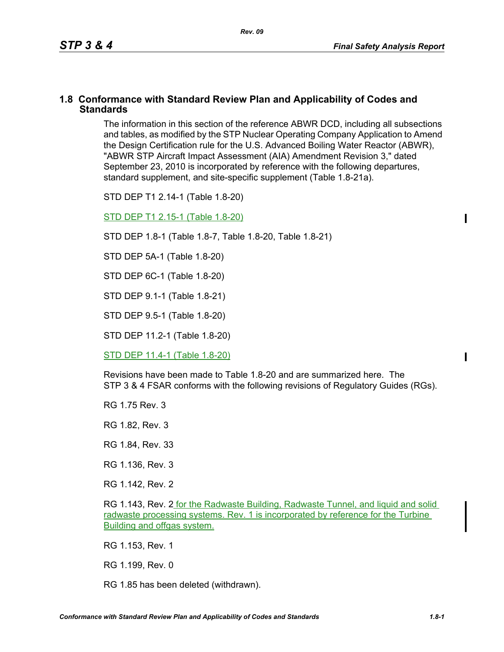#### **1.8 Conformance with Standard Review Plan and Applicability of Codes and Standards**

The information in this section of the reference ABWR DCD, including all subsections and tables, as modified by the STP Nuclear Operating Company Application to Amend the Design Certification rule for the U.S. Advanced Boiling Water Reactor (ABWR), "ABWR STP Aircraft Impact Assessment (AIA) Amendment Revision 3," dated September 23, 2010 is incorporated by reference with the following departures, standard supplement, and site-specific supplement (Table 1.8-21a).

STD DEP T1 2.14-1 (Table 1.8-20)

STD DEP T1 2.15-1 (Table 1.8-20)

STD DEP 1.8-1 (Table 1.8-7, Table [1.8-20,](#page-2-0) Table [1.8-21\)](#page-5-0)

STD DEP 5A-1 (Table 1.8-20)

STD DEP 6C-1 (Table [1.8-20\)](#page-2-0)

STD DEP 9.1-1 (Table 1.8-21)

STD DEP 9.5-1 (Table 1.8-20)

STD DEP 11.2-1 (Table [1.8-20](#page-2-0))

STD DEP 11.4-1 (Table 1.8-20)

Revisions have been made to Table [1.8-20](#page-2-0) and are summarized here. The STP 3 & 4 FSAR conforms with the following revisions of Regulatory Guides (RGs).

RG 1.75 Rev. 3

RG 1.82, Rev. 3

RG 1.84, Rev. 33

RG 1.136, Rev. 3

RG 1.142, Rev. 2

RG 1.143, Rev. 2 for the Radwaste Building, Radwaste Tunnel, and liquid and solid radwaste processing systems. Rev. 1 is incorporated by reference for the Turbine Building and offgas system.

RG 1.153, Rev. 1

RG 1.199, Rev. 0

RG 1.85 has been deleted (withdrawn).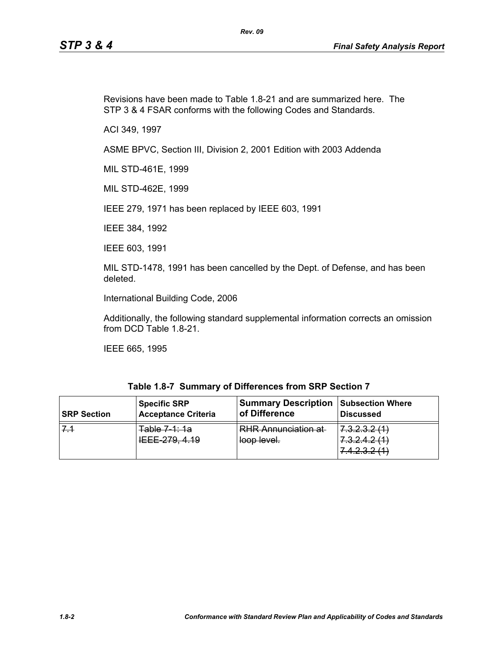Revisions have been made to Table [1.8-21](#page-5-0) and are summarized here. The STP 3 & 4 FSAR conforms with the following Codes and Standards.

*Rev. 09*

ACI 349, 1997

ASME BPVC, Section III, Division 2, 2001 Edition with 2003 Addenda

MIL STD-461E, 1999

MIL STD-462E, 1999

IEEE 279, 1971 has been replaced by IEEE 603, 1991

IEEE 384, 1992

IEEE 603, 1991

MIL STD-1478, 1991 has been cancelled by the Dept. of Defense, and has been deleted.

International Building Code, 2006

Additionally, the following standard supplemental information corrects an omission from DCD Table 1.8-21.

IEEE 665, 1995

| Table 1.8-7 Summary of Differences from SRP Section 7 |
|-------------------------------------------------------|
|-------------------------------------------------------|

| <b>SRP Section</b> | <b>Specific SRP</b>                                       | <b>Summary Description</b>                | <b>Subsection Where</b>                                                                                                      |
|--------------------|-----------------------------------------------------------|-------------------------------------------|------------------------------------------------------------------------------------------------------------------------------|
|                    | <b>Acceptance Criteria</b>                                | of Difference                             | <b>Discussed</b>                                                                                                             |
|                    | Tahla 7 1: 1a<br><del>uvic 1 . 10</del><br>IEEE 279, 4.19 | <b>RHR Annunciation at</b><br>loop level. | 7 0 0 0 1 1<br>T.0.2.0.2.1<br>7 2 2 4 2 4 1<br>7 <del>.0.2.7.2 (T</del><br>7 1 7 2 9 11 1<br><del>1. 1. 4. 0. 4. 1. 1.</del> |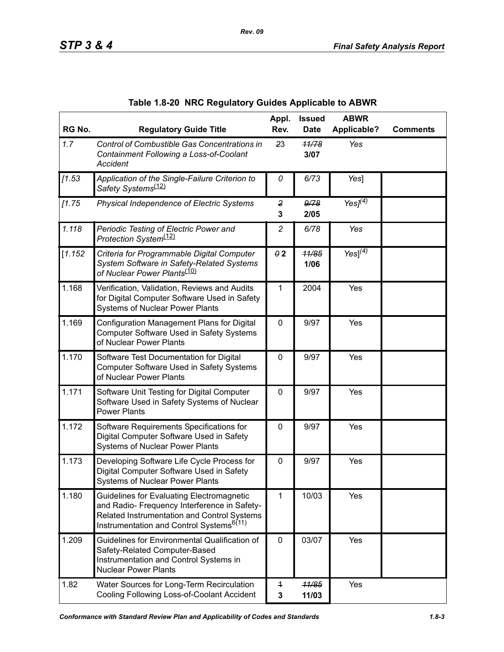<span id="page-2-0"></span>

| RG No.  | <b>Regulatory Guide Title</b>                                                                                                                                                                           | Appl.<br>Rev.                  | <b>Issued</b><br><b>Date</b> | <b>ABWR</b><br><b>Applicable?</b> | <b>Comments</b> |
|---------|---------------------------------------------------------------------------------------------------------------------------------------------------------------------------------------------------------|--------------------------------|------------------------------|-----------------------------------|-----------------|
| 1.7     | Control of Combustible Gas Concentrations in<br>Containment Following a Loss-of-Coolant<br><b>Accident</b>                                                                                              | 23                             | 11/78<br>3/07                | Yes                               |                 |
| [1.53]  | Application of the Single-Failure Criterion to<br>Safety Systems <sup>(12)</sup>                                                                                                                        | 0                              | 6/73                         | Yes]                              |                 |
| [1.75]  | Physical Independence of Electric Systems                                                                                                                                                               | $\overline{\mathbf{2}}$<br>3   | 9/78<br>2/05                 | Yes $J(4)$                        |                 |
| 1.118   | Periodic Testing of Electric Power and<br>Protection System <sup>(12)</sup>                                                                                                                             | $\overline{c}$                 | 6/78                         | Yes                               |                 |
| [1.152] | Criteria for Programmable Digital Computer<br>System Software in Safety-Related Systems<br>of Nuclear Power Plants <sup>(10)</sup>                                                                      | $\theta$ 2                     | 11/85<br>1/06                | Yes] $^{(4)}$                     |                 |
| 1.168   | Verification, Validation, Reviews and Audits<br>for Digital Computer Software Used in Safety<br><b>Systems of Nuclear Power Plants</b>                                                                  | 1                              | 2004                         | Yes                               |                 |
| 1.169   | Configuration Management Plans for Digital<br>Computer Software Used in Safety Systems<br>of Nuclear Power Plants                                                                                       | $\mathbf 0$                    | 9/97                         | Yes                               |                 |
| 1.170   | Software Test Documentation for Digital<br>Computer Software Used in Safety Systems<br>of Nuclear Power Plants                                                                                          | 0                              | 9/97                         | Yes                               |                 |
| 1.171   | Software Unit Testing for Digital Computer<br>Software Used in Safety Systems of Nuclear<br><b>Power Plants</b>                                                                                         | $\mathbf 0$                    | 9/97                         | Yes                               |                 |
| 1.172   | Software Requirements Specifications for<br>Digital Computer Software Used in Safety<br><b>Systems of Nuclear Power Plants</b>                                                                          | 0                              | 9/97                         | Yes                               |                 |
| 1.173   | Developing Software Life Cycle Process for<br>Digital Computer Software Used in Safety<br><b>Systems of Nuclear Power Plants</b>                                                                        | 0                              | 9/97                         | Yes                               |                 |
| 1.180   | <b>Guidelines for Evaluating Electromagnetic</b><br>and Radio- Frequency Interference in Safety-<br>Related Instrumentation and Control Systems<br>Instrumentation and Control Systems <sup>6(11)</sup> | 1                              | 10/03                        | Yes                               |                 |
| 1.209   | Guidelines for Environmental Qualification of<br>Safety-Related Computer-Based<br>Instrumentation and Control Systems in<br><b>Nuclear Power Plants</b>                                                 | $\mathbf 0$                    | 03/07                        | Yes                               |                 |
| 1.82    | Water Sources for Long-Term Recirculation<br>Cooling Following Loss-of-Coolant Accident                                                                                                                 | $\overline{1}$<br>$\mathbf{3}$ | 11/85<br>11/03               | Yes                               |                 |

|  | Table 1.8-20 NRC Regulatory Guides Applicable to ABWR |  |  |  |
|--|-------------------------------------------------------|--|--|--|
|--|-------------------------------------------------------|--|--|--|

*Rev. 09*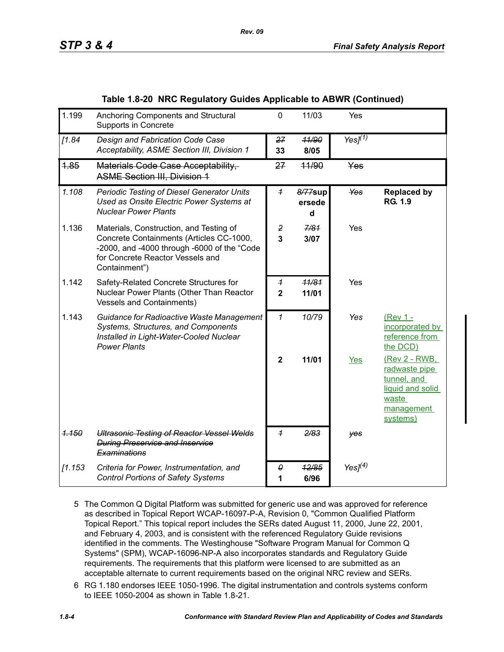|  |  |  | Table 1.8-20 NRC Regulatory Guides Applicable to ABWR (Continued) |
|--|--|--|-------------------------------------------------------------------|
|--|--|--|-------------------------------------------------------------------|

| 1.199   | Anchoring Components and Structural<br>Supports in Concrete                                                                                                                             | 0                                | 11/03                  | Yes              |                                                                                                      |
|---------|-----------------------------------------------------------------------------------------------------------------------------------------------------------------------------------------|----------------------------------|------------------------|------------------|------------------------------------------------------------------------------------------------------|
| [1.84]  | Design and Fabrication Code Case<br>Acceptability, ASME Section III, Division 1                                                                                                         | 27<br>33                         | 11/90<br>8/05          | Yes $\sqrt{1/2}$ |                                                                                                      |
| 4.85    | Materials Code Case Acceptability,<br><b>ASME Section III, Division 1</b>                                                                                                               | 27                               | 44/90                  | Yes              |                                                                                                      |
| 1.108   | <b>Periodic Testing of Diesel Generator Units</b><br>Used as Onsite Electric Power Systems at<br><b>Nuclear Power Plants</b>                                                            | $\overline{1}$                   | 8/77sup<br>ersede<br>d | Yes              | <b>Replaced by</b><br><b>RG. 1.9</b>                                                                 |
| 1.136   | Materials, Construction, and Testing of<br>Concrete Containments (Articles CC-1000,<br>-2000, and -4000 through -6000 of the "Code<br>for Concrete Reactor Vessels and<br>Containment") | $\overline{2}$<br>$\overline{3}$ | 7/81<br>3/07           | Yes              |                                                                                                      |
| 1.142   | Safety-Related Concrete Structures for<br>Nuclear Power Plants (Other Than Reactor<br><b>Vessels and Containments)</b>                                                                  | $\overline{1}$<br>$\mathbf{2}$   | 11/81<br>11/01         | Yes              |                                                                                                      |
| 1.143   | Guidance for Radioactive Waste Management<br>Systems, Structures, and Components<br>Installed in Light-Water-Cooled Nuclear<br><b>Power Plants</b>                                      | 1                                | 10/79                  | Yes              | (Rev 1 -<br>incorporated by<br>reference from<br>the DCD)                                            |
|         |                                                                                                                                                                                         | $\overline{2}$                   | 11/01                  | <b>Yes</b>       | (Rev 2 - RWB,<br>radwaste pipe<br>tunnel, and<br>liquid and solid<br>waste<br>management<br>systems) |
| 1.150   | <b>Ultrasonic Testing of Reactor Vessel Welds</b><br><b>During Preservice and Inservice</b><br>Examinations                                                                             | $\overline{1}$                   | 2/83                   | yes              |                                                                                                      |
| [1.153] | Criteria for Power, Instrumentation, and<br><b>Control Portions of Safety Systems</b>                                                                                                   | 0<br>1                           | 12/85<br>6/96          | Yes $I(4)$       |                                                                                                      |

- 5 The Common Q Digital Platform was submitted for generic use and was approved for reference as described in Topical Report WCAP-16097-P-A, Revision 0, "Common Qualified Platform Topical Report." This topical report includes the SERs dated August 11, 2000, June 22, 2001, and February 4, 2003, and is consistent with the referenced Regulatory Guide revisions identified in the comments. The Westinghouse "Software Program Manual for Common Q Systems" (SPM), WCAP-16096-NP-A also incorporates standards and Regulatory Guide requirements. The requirements that this platform were licensed to are submitted as an acceptable alternate to current requirements based on the original NRC review and SERs.
- 6 RG 1.180 endorses IEEE 1050-1996. The digital instrumentation and controls systems conform to IEEE 1050-2004 as shown in Table 1.8-21.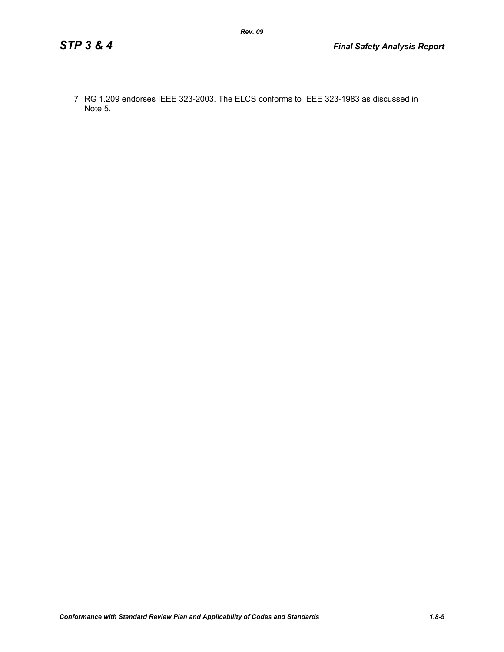7 RG 1.209 endorses IEEE 323-2003. The ELCS conforms to IEEE 323-1983 as discussed in Note 5.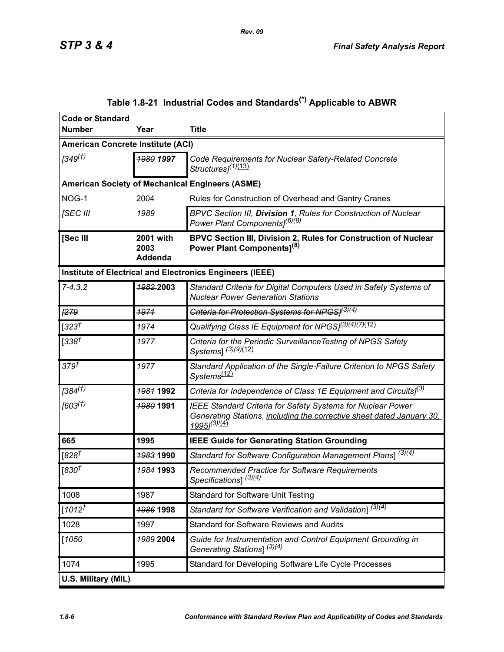<span id="page-5-0"></span>

| <b>Code or Standard</b>                  |                              |                                                                                                                                                                                    |  |  |
|------------------------------------------|------------------------------|------------------------------------------------------------------------------------------------------------------------------------------------------------------------------------|--|--|
| <b>Number</b>                            | Year                         | <b>Title</b>                                                                                                                                                                       |  |  |
| <b>American Concrete Institute (ACI)</b> |                              |                                                                                                                                                                                    |  |  |
| 1349 <sup>(†)</sup>                      | 1980 1997                    | Code Requirements for Nuclear Safety-Related Concrete<br>Structures <sup>[1]</sup> (13)                                                                                            |  |  |
|                                          |                              | <b>American Society of Mechanical Engineers (ASME)</b>                                                                                                                             |  |  |
| NOG-1                                    | 2004                         | Rules for Construction of Overhead and Gantry Cranes                                                                                                                               |  |  |
| <b>ISEC III</b>                          | 1989                         | BPVC Section III, Division 1, Rules for Construction of Nuclear<br>Power Plant Components] <sup>(6)(8)</sup>                                                                       |  |  |
| [Sec III                                 | 2001 with<br>2003<br>Addenda | BPVC Section III, Division 2, Rules for Construction of Nuclear<br>Power Plant Components] <sup>(8)</sup>                                                                          |  |  |
|                                          |                              | Institute of Electrical and Electronics Engineers (IEEE)                                                                                                                           |  |  |
| $7 - 4.3.2$                              | 1982-2003                    | Standard Criteria for Digital Computers Used in Safety Systems of<br><b>Nuclear Power Generation Stations</b>                                                                      |  |  |
| F279                                     | 1971                         | Criteria for Protection Systems for NPGS/ <sup>(3)(4)</sup>                                                                                                                        |  |  |
| $[323^{\dagger}]$                        | 1974                         | Qualifying Class IE Equipment for NPGS] <sup>(3)(4)(7)</sup> (12)                                                                                                                  |  |  |
| $[338^{+}]$                              | 1977                         | Criteria for the Periodic Surveillance Testing of NPGS Safety<br>Systems] (3)(9)(12)                                                                                               |  |  |
| 379 <sup>†</sup>                         | 1977                         | Standard Application of the Single-Failure Criterion to NPGS Safety<br>Systems <sup>(12)</sup>                                                                                     |  |  |
| $[384^{(1)}]$                            | 1981 1992                    | Criteria for Independence of Class 1E Equipment and Circuits] <sup>(3)</sup>                                                                                                       |  |  |
| [603 <sup>(†)</sup> ]                    | 1980 1991                    | <b>IEEE Standard Criteria for Safety Systems for Nuclear Power</b><br>Generating Stations, including the corrective sheet dated January 30,<br>19951 <sup>(3)</sup> <sup>(4)</sup> |  |  |
| 665                                      | 1995                         | <b>IEEE Guide for Generating Station Grounding</b>                                                                                                                                 |  |  |
| [ $828^{\dagger}$                        | 1983 1990                    | Standard for Software Configuration Management Plans] $\sqrt{(3)(4)}$                                                                                                              |  |  |
| $[830^{\overline{t}}]$                   | <del>1984</del> 1993         | Recommended Practice for Software Requirements<br>Specifications] <sup>(3)(4)</sup>                                                                                                |  |  |
| 1008                                     | 1987                         | <b>Standard for Software Unit Testing</b>                                                                                                                                          |  |  |
| $1012^{t}$                               | <b>1986 1998</b>             | Standard for Software Verification and Validation] $\sqrt{(3)(4)}$                                                                                                                 |  |  |
| 1028                                     | 1997                         | <b>Standard for Software Reviews and Audits</b>                                                                                                                                    |  |  |
| $[1050$                                  | 1989 2004                    | Guide for Instrumentation and Control Equipment Grounding in<br>Generating Stations] (3)(4)                                                                                        |  |  |
| 1074                                     | 1995                         | Standard for Developing Software Life Cycle Processes                                                                                                                              |  |  |
| U.S. Military (MIL)                      |                              |                                                                                                                                                                                    |  |  |

# **Table 1.8-21 Industrial Codes and Standards(\*) Applicable to ABWR**

*Rev. 09*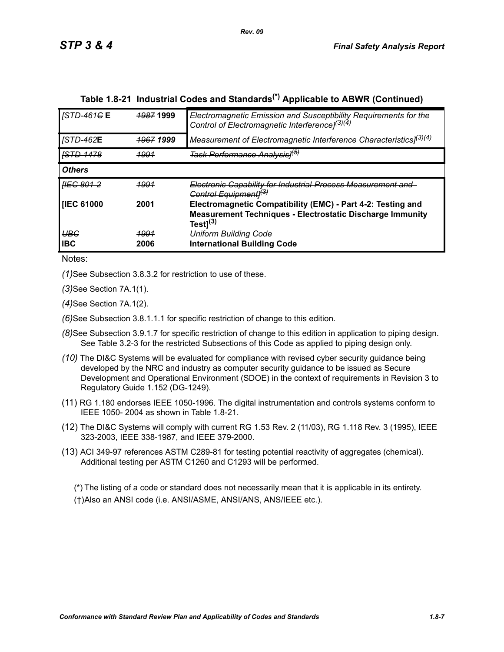| <b>STD-461GE</b>         | <b>1987 1999</b>     | Electromagnetic Emission and Susceptibility Requirements for the<br>Control of Electromagnetic Interference] <sup>(3)(4)</sup> |
|--------------------------|----------------------|--------------------------------------------------------------------------------------------------------------------------------|
| <b>JSTD-462E</b>         | <del>1967</del> 1999 | Measurement of Electromagnetic Interference Characteristics] <sup>(3)(4)</sup>                                                 |
| <b>ISTD-1478</b>         | <u> 1991</u>         | <del>Task Performance Analysis1<sup>(5)</sup></del>                                                                            |
| <b>Others</b>            |                      |                                                                                                                                |
|                          |                      |                                                                                                                                |
| <del>IIEC 801-2</del>    | <u> 1991</u>         | Electronic Capability for Industrial Process Measurement and<br>Control Equipmentl <sup>(3)</sup>                              |
| <b>IEC 61000</b>         | 2001                 | Electromagnetic Compatibility (EMC) - Part 4-2: Testing and<br>Measurement Techniques - Electrostatic Discharge Immunity       |
| <b>UBG</b><br><b>IBC</b> | <u> 1991</u><br>2006 | Test $]^{(3)}$<br><b>Uniform Building Code</b><br><b>International Building Code</b>                                           |

# **Table 1.8-21 Industrial Codes and Standards(\*) Applicable to ABWR (Continued)**

Notes:

*(1)*See Subsection 3.8.3.2 for restriction to use of these.

*(3)*See Section 7A.1(1).

*(4)*See Section 7A.1(2).

*(6)*See Subsection 3.8.1.1.1 for specific restriction of change to this edition.

- *(8)*See Subsection 3.9.1.7 for specific restriction of change to this edition in application to piping design. See Table 3.2-3 for the restricted Subsections of this Code as applied to piping design only.
- *(10)* The DI&C Systems will be evaluated for compliance with revised cyber security guidance being developed by the NRC and industry as computer security guidance to be issued as Secure Development and Operational Environment (SDOE) in the context of requirements in Revision 3 to Regulatory Guide 1.152 (DG-1249).
- (11) RG 1.180 endorses IEEE 1050-1996. The digital instrumentation and controls systems conform to IEEE 1050- 2004 as shown in Table 1.8-21.
- (12) The DI&C Systems will comply with current RG 1.53 Rev. 2 (11/03), RG 1.118 Rev. 3 (1995), IEEE 323-2003, IEEE 338-1987, and IEEE 379-2000.
- (13) ACI 349-97 references ASTM C289-81 for testing potential reactivity of aggregates (chemical). Additional testing per ASTM C1260 and C1293 will be performed.

(\*) The listing of a code or standard does not necessarily mean that it is applicable in its entirety. (†)Also an ANSI code (i.e. ANSI/ASME, ANSI/ANS, ANS/IEEE etc.).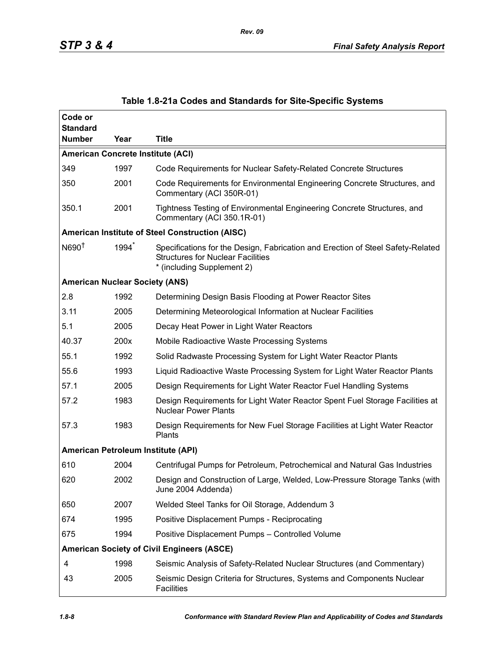| Code or<br><b>Standard</b>               |      |                                                                                                                                                           |  |  |  |  |
|------------------------------------------|------|-----------------------------------------------------------------------------------------------------------------------------------------------------------|--|--|--|--|
| <b>Number</b>                            | Year | <b>Title</b>                                                                                                                                              |  |  |  |  |
| <b>American Concrete Institute (ACI)</b> |      |                                                                                                                                                           |  |  |  |  |
| 349                                      | 1997 | Code Requirements for Nuclear Safety-Related Concrete Structures                                                                                          |  |  |  |  |
| 350                                      | 2001 | Code Requirements for Environmental Engineering Concrete Structures, and<br>Commentary (ACI 350R-01)                                                      |  |  |  |  |
| 350.1                                    | 2001 | Tightness Testing of Environmental Engineering Concrete Structures, and<br>Commentary (ACI 350.1R-01)                                                     |  |  |  |  |
|                                          |      | American Institute of Steel Construction (AISC)                                                                                                           |  |  |  |  |
| N690 <sup>†</sup>                        | 1994 | Specifications for the Design, Fabrication and Erection of Steel Safety-Related<br><b>Structures for Nuclear Facilities</b><br>* (including Supplement 2) |  |  |  |  |
| <b>American Nuclear Society (ANS)</b>    |      |                                                                                                                                                           |  |  |  |  |
| 2.8                                      | 1992 | Determining Design Basis Flooding at Power Reactor Sites                                                                                                  |  |  |  |  |
| 3.11                                     | 2005 | Determining Meteorological Information at Nuclear Facilities                                                                                              |  |  |  |  |
| 5.1                                      | 2005 | Decay Heat Power in Light Water Reactors                                                                                                                  |  |  |  |  |
| 40.37                                    | 200x | Mobile Radioactive Waste Processing Systems                                                                                                               |  |  |  |  |
| 55.1                                     | 1992 | Solid Radwaste Processing System for Light Water Reactor Plants                                                                                           |  |  |  |  |
| 55.6                                     | 1993 | Liquid Radioactive Waste Processing System for Light Water Reactor Plants                                                                                 |  |  |  |  |
| 57.1                                     | 2005 | Design Requirements for Light Water Reactor Fuel Handling Systems                                                                                         |  |  |  |  |
| 57.2                                     | 1983 | Design Requirements for Light Water Reactor Spent Fuel Storage Facilities at<br><b>Nuclear Power Plants</b>                                               |  |  |  |  |
| 57.3                                     | 1983 | Design Requirements for New Fuel Storage Facilities at Light Water Reactor<br>Plants                                                                      |  |  |  |  |
| American Petroleum Institute (API)       |      |                                                                                                                                                           |  |  |  |  |
| 610                                      | 2004 | Centrifugal Pumps for Petroleum, Petrochemical and Natural Gas Industries                                                                                 |  |  |  |  |
| 620                                      | 2002 | Design and Construction of Large, Welded, Low-Pressure Storage Tanks (with<br>June 2004 Addenda)                                                          |  |  |  |  |
| 650                                      | 2007 | Welded Steel Tanks for Oil Storage, Addendum 3                                                                                                            |  |  |  |  |
| 674                                      | 1995 | Positive Displacement Pumps - Reciprocating                                                                                                               |  |  |  |  |
| 675                                      | 1994 | Positive Displacement Pumps - Controlled Volume                                                                                                           |  |  |  |  |
|                                          |      | <b>American Society of Civil Engineers (ASCE)</b>                                                                                                         |  |  |  |  |
| 4                                        | 1998 | Seismic Analysis of Safety-Related Nuclear Structures (and Commentary)                                                                                    |  |  |  |  |
| 43                                       | 2005 | Seismic Design Criteria for Structures, Systems and Components Nuclear<br><b>Facilities</b>                                                               |  |  |  |  |

## **Table 1.8-21a Codes and Standards for Site-Specific Systems**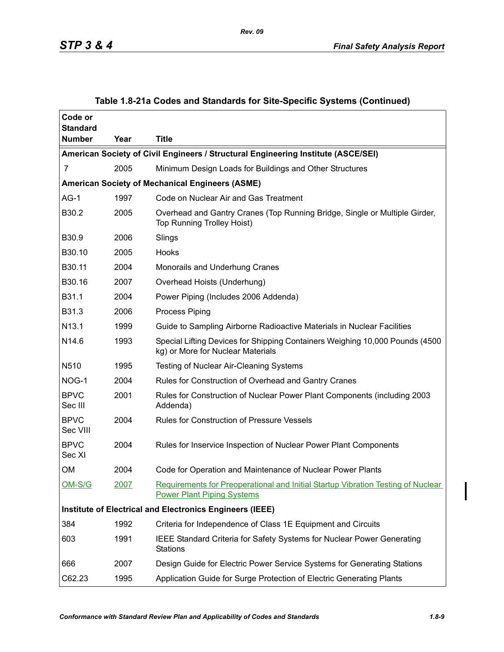| Code or<br><b>Standard</b>                                                        |                                                        |                                                                                                                       |  |  |  |  |
|-----------------------------------------------------------------------------------|--------------------------------------------------------|-----------------------------------------------------------------------------------------------------------------------|--|--|--|--|
| <b>Number</b>                                                                     | Year                                                   | <b>Title</b>                                                                                                          |  |  |  |  |
| American Society of Civil Engineers / Structural Engineering Institute (ASCE/SEI) |                                                        |                                                                                                                       |  |  |  |  |
| 7                                                                                 | 2005                                                   | Minimum Design Loads for Buildings and Other Structures                                                               |  |  |  |  |
|                                                                                   | <b>American Society of Mechanical Engineers (ASME)</b> |                                                                                                                       |  |  |  |  |
| $AG-1$                                                                            | 1997                                                   | Code on Nuclear Air and Gas Treatment                                                                                 |  |  |  |  |
| B30.2                                                                             | 2005                                                   | Overhead and Gantry Cranes (Top Running Bridge, Single or Multiple Girder,<br><b>Top Running Trolley Hoist)</b>       |  |  |  |  |
| B30.9                                                                             | 2006                                                   | Slings                                                                                                                |  |  |  |  |
| B30.10                                                                            | 2005                                                   | Hooks                                                                                                                 |  |  |  |  |
| B30.11                                                                            | 2004                                                   | Monorails and Underhung Cranes                                                                                        |  |  |  |  |
| B30.16                                                                            | 2007                                                   | Overhead Hoists (Underhung)                                                                                           |  |  |  |  |
| B31.1                                                                             | 2004                                                   | Power Piping (Includes 2006 Addenda)                                                                                  |  |  |  |  |
| B31.3                                                                             | 2006                                                   | <b>Process Piping</b>                                                                                                 |  |  |  |  |
| N13.1                                                                             | 1999                                                   | Guide to Sampling Airborne Radioactive Materials in Nuclear Facilities                                                |  |  |  |  |
| N <sub>14.6</sub>                                                                 | 1993                                                   | Special Lifting Devices for Shipping Containers Weighing 10,000 Pounds (4500<br>kg) or More for Nuclear Materials     |  |  |  |  |
| N510                                                                              | 1995                                                   | Testing of Nuclear Air-Cleaning Systems                                                                               |  |  |  |  |
| NOG-1                                                                             | 2004                                                   | Rules for Construction of Overhead and Gantry Cranes                                                                  |  |  |  |  |
| <b>BPVC</b><br>Sec III                                                            | 2001                                                   | Rules for Construction of Nuclear Power Plant Components (including 2003<br>Addenda)                                  |  |  |  |  |
| <b>BPVC</b><br>Sec VIII                                                           | 2004                                                   | <b>Rules for Construction of Pressure Vessels</b>                                                                     |  |  |  |  |
| <b>BPVC</b><br>Sec XI                                                             | 2004                                                   | Rules for Inservice Inspection of Nuclear Power Plant Components                                                      |  |  |  |  |
| OM                                                                                | 2004                                                   | Code for Operation and Maintenance of Nuclear Power Plants                                                            |  |  |  |  |
| $OM-S/G$                                                                          | 2007                                                   | Requirements for Preoperational and Initial Startup Vibration Testing of Nuclear<br><b>Power Plant Piping Systems</b> |  |  |  |  |
|                                                                                   |                                                        | Institute of Electrical and Electronics Engineers (IEEE)                                                              |  |  |  |  |
| 384                                                                               | 1992                                                   | Criteria for Independence of Class 1E Equipment and Circuits                                                          |  |  |  |  |
| 603                                                                               | 1991                                                   | IEEE Standard Criteria for Safety Systems for Nuclear Power Generating<br><b>Stations</b>                             |  |  |  |  |
| 666                                                                               | 2007                                                   | Design Guide for Electric Power Service Systems for Generating Stations                                               |  |  |  |  |
| C62.23                                                                            | 1995                                                   | Application Guide for Surge Protection of Electric Generating Plants                                                  |  |  |  |  |

## **Table 1.8-21a Codes and Standards for Site-Specific Systems (Continued)**

*Rev. 09*